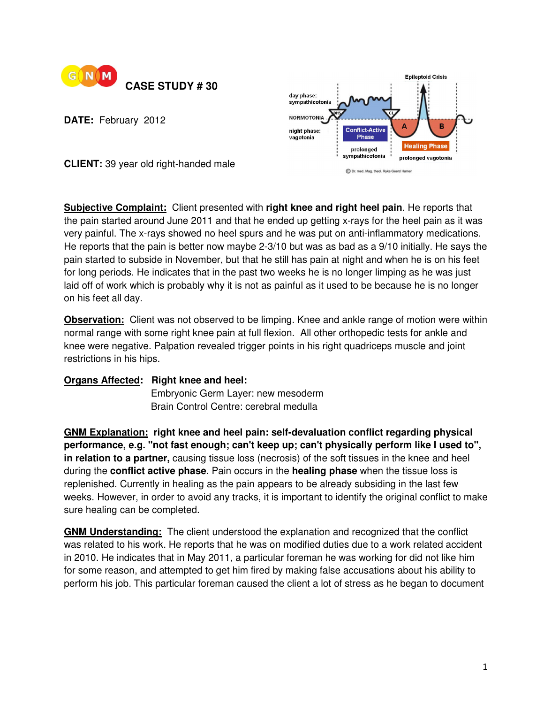

**DATE:** February 2012



**CLIENT:** 39 year old right-handed male

**Subjective Complaint:** Client presented with **right knee and right heel pain**. He reports that the pain started around June 2011 and that he ended up getting x-rays for the heel pain as it was very painful. The x-rays showed no heel spurs and he was put on anti-inflammatory medications. He reports that the pain is better now maybe 2-3/10 but was as bad as a 9/10 initially. He says the pain started to subside in November, but that he still has pain at night and when he is on his feet for long periods. He indicates that in the past two weeks he is no longer limping as he was just laid off of work which is probably why it is not as painful as it used to be because he is no longer on his feet all day.

**Observation:** Client was not observed to be limping. Knee and ankle range of motion were within normal range with some right knee pain at full flexion. All other orthopedic tests for ankle and knee were negative. Palpation revealed trigger points in his right quadriceps muscle and joint restrictions in his hips.

## **Organs Affected: Right knee and heel: Embryonic Germ Layer: new mesoderm** Brain Control Centre: cerebral medulla

**GNM Explanation: right knee and heel pain: self-devaluation conflict regarding physical performance, e.g. "not fast enough; can't keep up; can't physically perform like I used to", in relation to a partner,** causing tissue loss (necrosis) of the soft tissues in the knee and heel during the **conflict active phase**. Pain occurs in the **healing phase** when the tissue loss is replenished. Currently in healing as the pain appears to be already subsiding in the last few weeks. However, in order to avoid any tracks, it is important to identify the original conflict to make sure healing can be completed.

**GNM Understanding:** The client understood the explanation and recognized that the conflict was related to his work. He reports that he was on modified duties due to a work related accident in 2010. He indicates that in May 2011, a particular foreman he was working for did not like him for some reason, and attempted to get him fired by making false accusations about his ability to perform his job. This particular foreman caused the client a lot of stress as he began to document